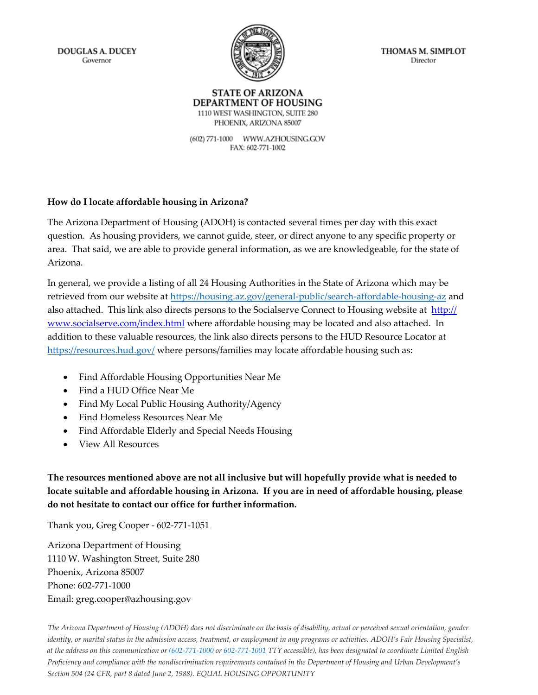**DOUGLAS A. DUCEY** Governor



THOMAS M. SIMPLOT Director

#### **STATE OF ARIZONA** DEPARTMENT OF HOUSING 1110 WEST WASHINGTON, SUITE 280

PHOENIX, ARIZONA 85007 (602) 771-1000 WWW.AZHOUSING.GOV FAX: 602-771-1002

**How do I locate affordable housing in Arizona?**

The Arizona Department of Housing (ADOH) is contacted several times per day with this exact question. As housing providers, we cannot guide, steer, or direct anyone to any specific property or area. That said, we are able to provide general information, as we are knowledgeable, for the state of Arizona.

In general, we provide a listing of all 24 Housing Authorities in the State of Arizona which may be retrieved from our website at <https://housing.az.gov/general-public/search-affordable-housing-az> and also attached. This link also [directs persons to the Socialserve Connect](http://www.socialserve.com/index.html) to Housing website at http:// www.socialserve.com/index.html where affordable housing may be located and also attached. In addition to these valuable resources, the link also directs persons to the HUD Resource Locator at <https://resources.hud.gov/> where persons/families may locate affordable housing such as:

- Find Affordable Housing Opportunities Near Me
- Find a HUD Office Near Me
- Find My Local Public Housing Authority/Agency
- Find Homeless Resources Near Me
- Find Affordable Elderly and Special Needs Housing
- View All Resources

**The resources mentioned above are not all inclusive but will hopefully provide what is needed to locate suitable and affordable housing in Arizona. If you are in need of affordable housing, please do not hesitate to contact our office for further information.** 

Thank you, Greg Cooper - 602-771-1051

Arizona Department of Housing 1110 W. Washington Street, Suite 280 Phoenix, Arizona 85007 Phone: 602-771-1000 Email: greg.cooper@azhousing.gov

*The Arizona Department of Housing (ADOH) does not discriminate on the basis of disability, actual or perceived sexual orientation, gender identity, or marital status in the admission access, treatment, or employment in any programs or activities. ADOH's Fair Housing Specialist, at the address on this communication or [\(602-771-1000](tel:%28602-771-1000) or [602-771-1001](tel:602-771-1001) TTY accessible), has been designated to coordinate Limited English Proficiency and compliance with the nondiscrimination requirements contained in the Department of Housing and Urban Development's Section 504 (24 CFR, part 8 dated June 2, 1988). EQUAL HOUSING OPPORTUNITY*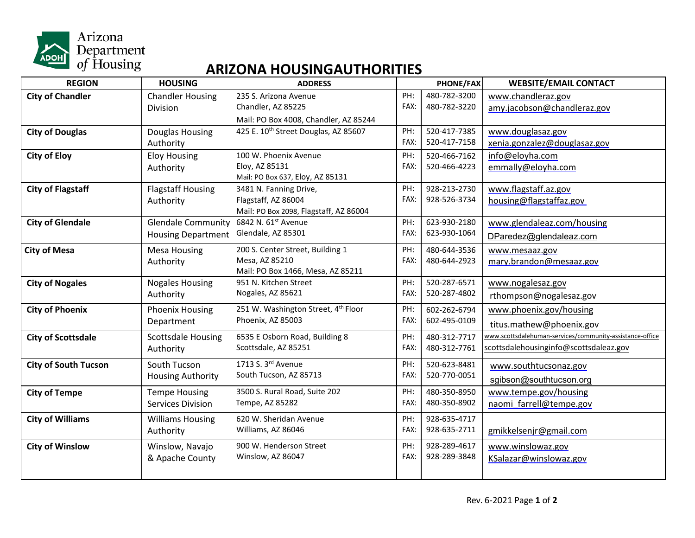

### **ARIZONA HOUSINGAUTHORITIES**

| <b>REGION</b>               | <b>HOUSING</b>            | <b>ADDRESS</b>                                   |      | PHONE/FAX    | <b>WEBSITE/EMAIL CONTACT</b>                             |
|-----------------------------|---------------------------|--------------------------------------------------|------|--------------|----------------------------------------------------------|
| <b>City of Chandler</b>     | <b>Chandler Housing</b>   | 235 S. Arizona Avenue                            | PH:  | 480-782-3200 | www.chandleraz.gov                                       |
|                             | Division                  | Chandler, AZ 85225                               | FAX: | 480-782-3220 | amy.jacobson@chandleraz.gov                              |
|                             |                           | Mail: PO Box 4008, Chandler, AZ 85244            |      |              |                                                          |
| <b>City of Douglas</b>      | Douglas Housing           | 425 E. 10 <sup>th</sup> Street Douglas, AZ 85607 | PH:  | 520-417-7385 | www.douglasaz.gov                                        |
|                             | Authority                 |                                                  | FAX: | 520-417-7158 | xenia.gonzalez@douglasaz.gov                             |
| <b>City of Eloy</b>         | <b>Eloy Housing</b>       | 100 W. Phoenix Avenue                            | PH:  | 520-466-7162 | info@eloyha.com                                          |
|                             | Authority                 | Eloy, AZ 85131                                   | FAX: | 520-466-4223 | emmally@eloyha.com                                       |
|                             |                           | Mail: PO Box 637, Eloy, AZ 85131                 |      |              |                                                          |
| <b>City of Flagstaff</b>    | <b>Flagstaff Housing</b>  | 3481 N. Fanning Drive,                           | PH:  | 928-213-2730 | www.flagstaff.az.gov                                     |
|                             | Authority                 | Flagstaff, AZ 86004                              | FAX: | 928-526-3734 | housing@flagstaffaz.gov                                  |
|                             |                           | Mail: PO Box 2098, Flagstaff, AZ 86004           |      |              |                                                          |
| <b>City of Glendale</b>     | <b>Glendale Community</b> | 6842 N. 61st Avenue                              | PH:  | 623-930-2180 | www.glendaleaz.com/housing                               |
|                             | <b>Housing Department</b> | Glendale, AZ 85301                               | FAX: | 623-930-1064 | DParedez@glendaleaz.com                                  |
| <b>City of Mesa</b>         | <b>Mesa Housing</b>       | 200 S. Center Street, Building 1                 | PH:  | 480-644-3536 | www.mesaaz.gov                                           |
|                             | Authority                 | Mesa, AZ 85210                                   | FAX: | 480-644-2923 | mary.brandon@mesaaz.gov                                  |
|                             |                           | Mail: PO Box 1466, Mesa, AZ 85211                |      |              |                                                          |
| <b>City of Nogales</b>      | <b>Nogales Housing</b>    | 951 N. Kitchen Street                            | PH:  | 520-287-6571 | www.nogalesaz.gov                                        |
|                             | Authority                 | Nogales, AZ 85621                                | FAX: | 520-287-4802 | rthompson@nogalesaz.gov                                  |
| <b>City of Phoenix</b>      | <b>Phoenix Housing</b>    | 251 W. Washington Street, 4th Floor              | PH:  | 602-262-6794 | www.phoenix.gov/housing                                  |
|                             | Department                | Phoenix, AZ 85003                                | FAX: | 602-495-0109 | titus.mathew@phoenix.gov                                 |
| <b>City of Scottsdale</b>   | <b>Scottsdale Housing</b> | 6535 E Osborn Road, Building 8                   | PH:  | 480-312-7717 | www.scottsdalehuman-services/community-assistance-office |
|                             | Authority                 | Scottsdale, AZ 85251                             | FAX: | 480-312-7761 | scottsdalehousinginfo@scottsdaleaz.gov                   |
|                             | South Tucson              | 1713 S. 3rd Avenue                               | PH:  | 520-623-8481 |                                                          |
| <b>City of South Tucson</b> |                           | South Tucson, AZ 85713                           | FAX: | 520-770-0051 | www.southtucsonaz.gov                                    |
|                             | <b>Housing Authority</b>  |                                                  |      |              | sgibson@southtucson.org                                  |
| <b>City of Tempe</b>        | <b>Tempe Housing</b>      | 3500 S. Rural Road, Suite 202                    | PH:  | 480-350-8950 | www.tempe.gov/housing                                    |
|                             | <b>Services Division</b>  | Tempe, AZ 85282                                  | FAX: | 480-350-8902 | naomi farrell@tempe.gov                                  |
| <b>City of Williams</b>     | <b>Williams Housing</b>   | 620 W. Sheridan Avenue                           | PH:  | 928-635-4717 |                                                          |
|                             | Authority                 | Williams, AZ 86046                               | FAX: | 928-635-2711 | gmikkelsenjr@gmail.com                                   |
| <b>City of Winslow</b>      | Winslow, Navajo           | 900 W. Henderson Street                          | PH:  | 928-289-4617 | www.winslowaz.gov                                        |
|                             | & Apache County           | Winslow, AZ 86047                                | FAX: | 928-289-3848 | KSalazar@winslowaz.gov                                   |
|                             |                           |                                                  |      |              |                                                          |
|                             |                           |                                                  |      |              |                                                          |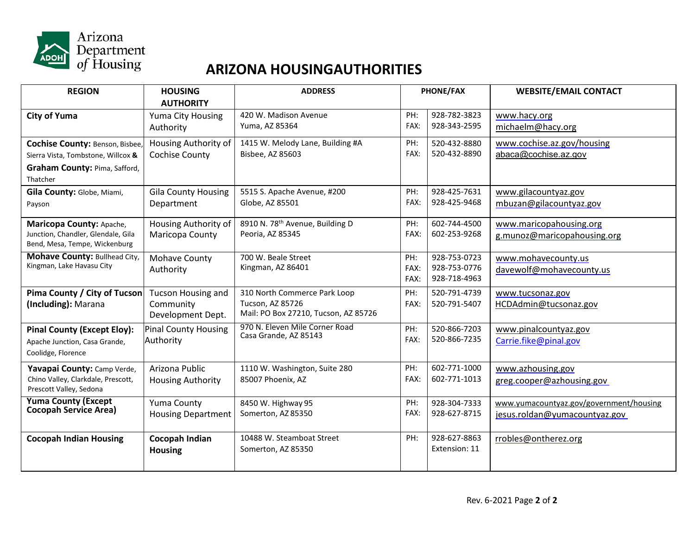

## **ARIZONA HOUSINGAUTHORITIES**

| <b>REGION</b>                                              | <b>HOUSING</b>              | <b>ADDRESS</b>                                           | PHONE/FAX |               | <b>WEBSITE/EMAIL CONTACT</b>            |
|------------------------------------------------------------|-----------------------------|----------------------------------------------------------|-----------|---------------|-----------------------------------------|
|                                                            | <b>AUTHORITY</b>            |                                                          |           |               |                                         |
| <b>City of Yuma</b>                                        | Yuma City Housing           | 420 W. Madison Avenue                                    | PH:       | 928-782-3823  | www.hacy.org                            |
|                                                            | Authority                   | Yuma, AZ 85364                                           | FAX:      | 928-343-2595  | michaelm@hacy.org                       |
| <b>Cochise County: Benson, Bisbee,</b>                     | Housing Authority of        | 1415 W. Melody Lane, Building #A                         | PH:       | 520-432-8880  | www.cochise.az.gov/housing              |
| Sierra Vista, Tombstone, Willcox &                         | Cochise County              | Bisbee, AZ 85603                                         | FAX:      | 520-432-8890  | abaca@cochise.az.gov                    |
| Graham County: Pima, Safford,                              |                             |                                                          |           |               |                                         |
| Thatcher                                                   |                             |                                                          |           |               |                                         |
| Gila County: Globe, Miami,                                 | <b>Gila County Housing</b>  | 5515 S. Apache Avenue, #200                              | PH:       | 928-425-7631  | www.gilacountyaz.gov                    |
| Payson                                                     | Department                  | Globe, AZ 85501                                          | FAX:      | 928-425-9468  | mbuzan@gilacountyaz.gov                 |
| Maricopa County: Apache,                                   | Housing Authority of        | 8910 N. 78 <sup>th</sup> Avenue, Building D              | PH:       | 602-744-4500  | www.maricopahousing.org                 |
| Junction, Chandler, Glendale, Gila                         | Maricopa County             | Peoria, AZ 85345                                         | FAX:      | 602-253-9268  | g.munoz@maricopahousing.org             |
| Bend, Mesa, Tempe, Wickenburg                              |                             |                                                          |           |               |                                         |
| Mohave County: Bullhead City,                              | Mohave County               | 700 W. Beale Street                                      | PH:       | 928-753-0723  | www.mohavecounty.us                     |
| Kingman, Lake Havasu City                                  | Authority                   | Kingman, AZ 86401                                        | FAX:      | 928-753-0776  | davewolf@mohavecounty.us                |
|                                                            |                             |                                                          | FAX:      | 928-718-4963  |                                         |
| Pima County / City of Tucson                               | <b>Tucson Housing and</b>   | 310 North Commerce Park Loop                             | PH:       | 520-791-4739  | www.tucsonaz.gov                        |
| (Including): Marana                                        | Community                   | Tucson, AZ 85726<br>Mail: PO Box 27210, Tucson, AZ 85726 | FAX:      | 520-791-5407  | HCDAdmin@tucsonaz.gov                   |
|                                                            | Development Dept.           |                                                          |           |               |                                         |
| <b>Pinal County (Except Eloy):</b>                         | <b>Pinal County Housing</b> | 970 N. Eleven Mile Corner Road<br>Casa Grande, AZ 85143  | PH:       | 520-866-7203  | www.pinalcountyaz.gov                   |
| Apache Junction, Casa Grande,                              | Authority                   |                                                          | FAX:      | 520-866-7235  | Carrie.fike@pinal.gov                   |
| Coolidge, Florence                                         |                             |                                                          |           |               |                                         |
| Yavapai County: Camp Verde,                                | Arizona Public              | 1110 W. Washington, Suite 280                            | PH:       | 602-771-1000  | www.azhousing.gov                       |
| Chino Valley, Clarkdale, Prescott,                         | <b>Housing Authority</b>    | 85007 Phoenix, AZ                                        | FAX:      | 602-771-1013  | greg.cooper@azhousing.gov               |
| Prescott Valley, Sedona                                    |                             |                                                          |           |               |                                         |
| <b>Yuma County (Except</b><br><b>Cocopah Service Area)</b> | Yuma County                 | 8450 W. Highway 95                                       | PH:       | 928-304-7333  | www.yumacountyaz.gov/government/housing |
|                                                            | <b>Housing Department</b>   | Somerton, AZ 85350                                       | FAX:      | 928-627-8715  | jesus.roldan@yumacountyaz.gov           |
|                                                            | <b>Cocopah Indian</b>       | 10488 W. Steamboat Street                                | PH:       | 928-627-8863  | rrobles@ontherez.org                    |
| <b>Cocopah Indian Housing</b>                              | <b>Housing</b>              | Somerton, AZ 85350                                       |           | Extension: 11 |                                         |
|                                                            |                             |                                                          |           |               |                                         |
|                                                            |                             |                                                          |           |               |                                         |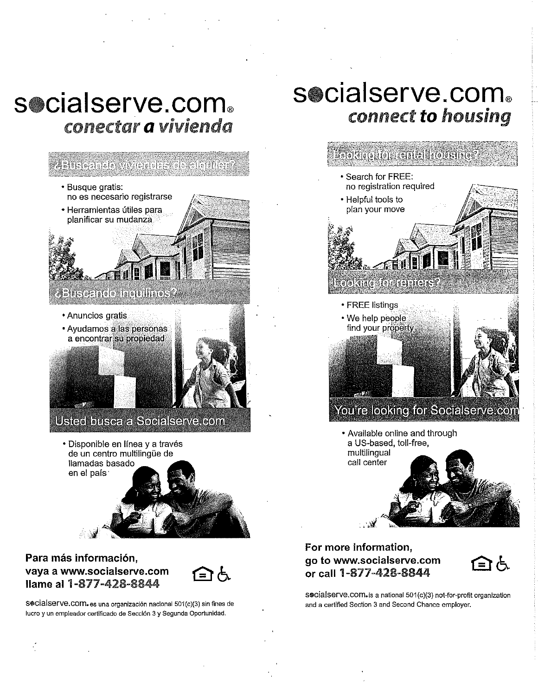# socialserve.com. conectar a vivienda

#### <u> 4 Bisteratolo WWeatolas de algullen</u>

- · Busque gratis: no es necesario registrarse
- · Herramientas útiles para planificar su mudanza



- Anuncios gratis
- Ayudamos a las personas a encontrar su propiedad



### Usted busca a Socialserve.com

· Disponible en línea y a través de un centro multilingüe de llamadas basado en el país<sup>.</sup>



#### Para más información. vaya a www.socialserve.com Ilame al 1-877-428-8844

Socialserve.com.es una organización nacional 501(c)(3) sin fines de lucro y un empleador certificado de Sección 3 y Segunda Oportunidad.

# socialserve.com. connect to housing



#### For more information, go to www.socialserve.com or call 1-877-428-8844



socialserve.com.is a national 501(c)(3) not-for-profit organization and a certified Section 3 and Second Chance employer.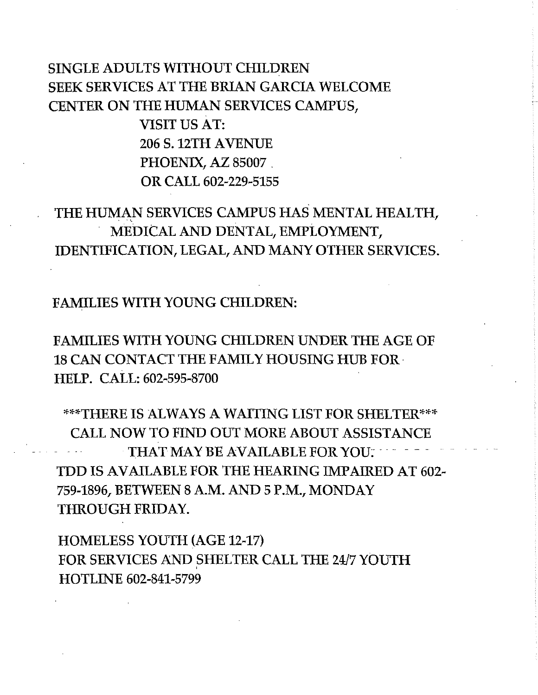# **SINGLE ADULTS WITHOUT CHILDREN SEEK SERVICES AT THE BRIAN GARCIA WELCOME** CENTER ON THE HUMAN SERVICES CAMPUS.

**VISIT US AT: 206 S. 12TH AVENUE** PHOENIX, AZ 85007 OR CALL 602-229-5155

# THE HUMAN SERVICES CAMPUS HAS MENTAL HEALTH. MEDICAL AND DENTAL, EMPLOYMENT, IDENTIFICATION, LEGAL, AND MANY OTHER SERVICES.

**FAMILIES WITH YOUNG CHILDREN:** 

**FAMILIES WITH YOUNG CHILDREN UNDER THE AGE OF 18 CAN CONTACT THE FAMILY HOUSING HUB FOR-**HELP. CALL: 602-595-8700

\*\*\*THERE IS ALWAYS A WAITING LIST FOR SHELTER\*\*\* **CALL NOW TO FIND OUT MORE ABOUT ASSISTANCE** THAT MAY BE AVAILABLE FOR YOU: TDD IS AVAILABLE FOR THE HEARING IMPAIRED AT 602-759-1896, BETWEEN 8 A.M. AND 5 P.M., MONDAY THROUGH FRIDAY.

**HOMELESS YOUTH (AGE 12-17)** FOR SERVICES AND SHELTER CALL THE 24/7 YOUTH **HOTLINE 602-841-5799**